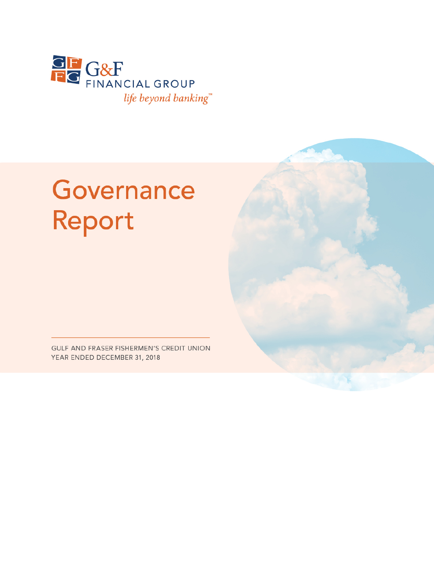

# Governance Report

GULF AND FRASER FISHERMEN'S CREDIT UNION YEAR ENDED DECEMBER 31, 2018

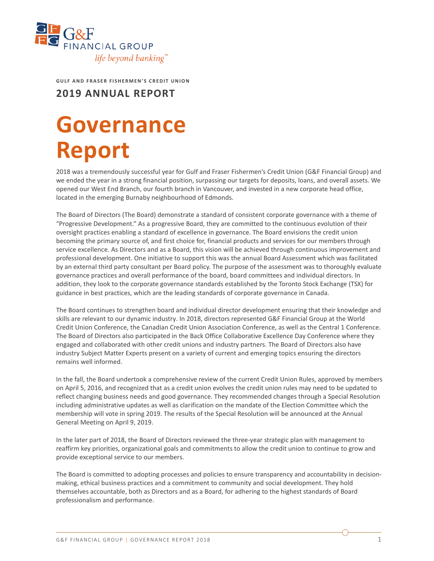

**GULF AND FRASER FISHERMEN'S CREDIT UNION**

**2019 ANNUAL REPORT**

## **Governance Report**

2018 was a tremendously successful year for Gulf and Fraser Fishermen's Credit Union (G&F Financial Group) and we ended the year in a strong financial position, surpassing our targets for deposits, loans, and overall assets. We opened our West End Branch, our fourth branch in Vancouver, and invested in a new corporate head office, located in the emerging Burnaby neighbourhood of Edmonds.

The Board of Directors (The Board) demonstrate a standard of consistent corporate governance with a theme of "Progressive Development." As a progressive Board, they are committed to the continuous evolution of their oversight practices enabling a standard of excellence in governance. The Board envisions the credit union becoming the primary source of, and first choice for, financial products and services for our members through service excellence. As Directors and as a Board, this vision will be achieved through continuous improvement and professional development. One initiative to support this was the annual Board Assessment which was facilitated by an external third party consultant per Board policy. The purpose of the assessment was to thoroughly evaluate governance practices and overall performance of the board, board committees and individual directors. In addition, they look to the corporate governance standards established by the Toronto Stock Exchange (TSX) for guidance in best practices, which are the leading standards of corporate governance in Canada.

The Board continues to strengthen board and individual director development ensuring that their knowledge and skills are relevant to our dynamic industry. In 2018, directors represented G&F Financial Group at the World Credit Union Conference, the Canadian Credit Union Association Conference, as well as the Central 1 Conference. The Board of Directors also participated in the Back Office Collaborative Excellence Day Conference where they engaged and collaborated with other credit unions and industry partners. The Board of Directors also have industry Subject Matter Experts present on a variety of current and emerging topics ensuring the directors remains well informed.

In the fall, the Board undertook a comprehensive review of the current Credit Union Rules, approved by members on April 5, 2016, and recognized that as a credit union evolves the credit union rules may need to be updated to reflect changing business needs and good governance. They recommended changes through a Special Resolution including administrative updates as well as clarification on the mandate of the Election Committee which the membership will vote in spring 2019. The results of the Special Resolution will be announced at the Annual General Meeting on April 9, 2019.

In the later part of 2018, the Board of Directors reviewed the three-year strategic plan with management to reaffirm key priorities, organizational goals and commitments to allow the credit union to continue to grow and provide exceptional service to our members.

The Board is committed to adopting processes and policies to ensure transparency and accountability in decisionmaking, ethical business practices and a commitment to community and social development. They hold themselves accountable, both as Directors and as a Board, for adhering to the highest standards of Board professionalism and performance.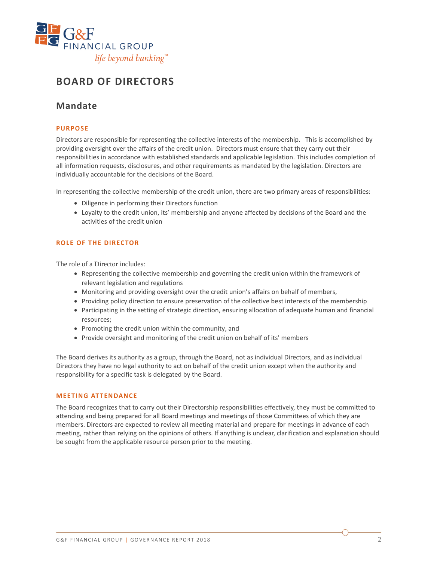

## **BOARD OF DIRECTORS**

## **Mandate**

#### **PURPOSE**

Directors are responsible for representing the collective interests of the membership. This is accomplished by providing oversight over the affairs of the credit union. Directors must ensure that they carry out their responsibilities in accordance with established standards and applicable legislation. This includes completion of all information requests, disclosures, and other requirements as mandated by the legislation. Directors are individually accountable for the decisions of the Board.

In representing the collective membership of the credit union, there are two primary areas of responsibilities:

- Diligence in performing their Directors function
- Loyalty to the credit union, its' membership and anyone affected by decisions of the Board and the activities of the credit union

#### **ROLE OF THE DIRECTOR**

The role of a Director includes:

- Representing the collective membership and governing the credit union within the framework of relevant legislation and regulations
- Monitoring and providing oversight over the credit union's affairs on behalf of members,
- Providing policy direction to ensure preservation of the collective best interests of the membership
- Participating in the setting of strategic direction, ensuring allocation of adequate human and financial resources;
- Promoting the credit union within the community, and
- Provide oversight and monitoring of the credit union on behalf of its' members

The Board derives its authority as a group, through the Board, not as individual Directors, and as individual Directors they have no legal authority to act on behalf of the credit union except when the authority and responsibility for a specific task is delegated by the Board.

#### **MEETING ATTENDANCE**

The Board recognizes that to carry out their Directorship responsibilities effectively, they must be committed to attending and being prepared for all Board meetings and meetings of those Committees of which they are members. Directors are expected to review all meeting material and prepare for meetings in advance of each meeting, rather than relying on the opinions of others. If anything is unclear, clarification and explanation should be sought from the applicable resource person prior to the meeting.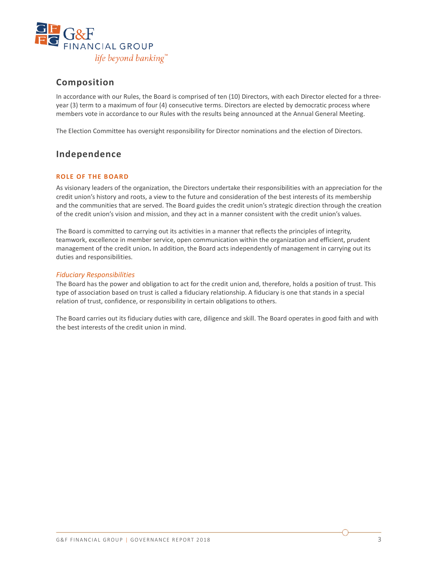

## **Composition**

In accordance with our Rules, the Board is comprised of ten (10) Directors, with each Director elected for a threeyear (3) term to a maximum of four (4) consecutive terms. Directors are elected by democratic process where members vote in accordance to our Rules with the results being announced at the Annual General Meeting.

The Election Committee has oversight responsibility for Director nominations and the election of Directors.

## **Independence**

#### **ROLE OF THE BOARD**

As visionary leaders of the organization, the Directors undertake their responsibilities with an appreciation for the credit union's history and roots, a view to the future and consideration of the best interests of its membership and the communities that are served. The Board guides the credit union's strategic direction through the creation of the credit union's vision and mission, and they act in a manner consistent with the credit union's values.

The Board is committed to carrying out its activities in a manner that reflects the principles of integrity, teamwork, excellence in member service, open communication within the organization and efficient, prudent management of the credit union**.** In addition, the Board acts independently of management in carrying out its duties and responsibilities.

#### *Fiduciary Responsibilities*

The Board has the power and obligation to act for the credit union and, therefore, holds a position of trust. This type of association based on trust is called a fiduciary relationship. A fiduciary is one that stands in a special relation of trust, confidence, or responsibility in certain obligations to others.

The Board carries out its fiduciary duties with care, diligence and skill. The Board operates in good faith and with the best interests of the credit union in mind.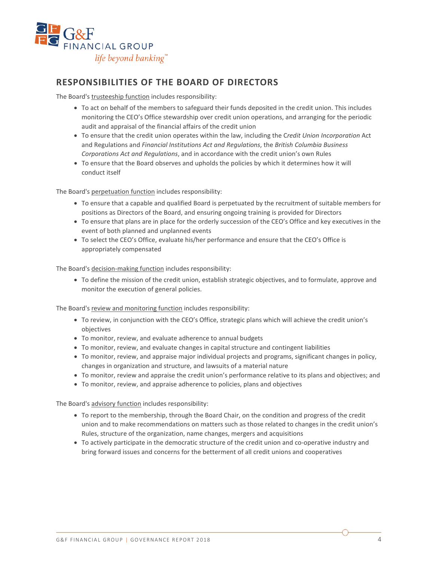

## **RESPONSIBILITIES OF THE BOARD OF DIRECTORS**

The Board's trusteeship function includes responsibility:

- To act on behalf of the members to safeguard their funds deposited in the credit union. This includes monitoring the CEO's Office stewardship over credit union operations, and arranging for the periodic audit and appraisal of the financial affairs of the credit union
- To ensure that the credit union operates within the law, including the C*redit Union Incorporation* Act and Regulations and *Financial Institutions Act and Regulations*, the *British Columbia Business Corporations Act and Regulations*, and in accordance with the credit union's own Rules
- To ensure that the Board observes and upholds the policies by which it determines how it will conduct itself

The Board's perpetuation function includes responsibility:

- To ensure that a capable and qualified Board is perpetuated by the recruitment of suitable members for positions as Directors of the Board, and ensuring ongoing training is provided for Directors
- To ensure that plans are in place for the orderly succession of the CEO's Office and key executives in the event of both planned and unplanned events
- To select the CEO's Office, evaluate his/her performance and ensure that the CEO's Office is appropriately compensated

The Board's decision-making function includes responsibility:

• To define the mission of the credit union, establish strategic objectives, and to formulate, approve and monitor the execution of general policies.

The Board's review and monitoring function includes responsibility:

- To review, in conjunction with the CEO's Office, strategic plans which will achieve the credit union's objectives
- To monitor, review, and evaluate adherence to annual budgets
- To monitor, review, and evaluate changes in capital structure and contingent liabilities
- To monitor, review, and appraise major individual projects and programs, significant changes in policy, changes in organization and structure, and lawsuits of a material nature
- To monitor, review and appraise the credit union's performance relative to its plans and objectives; and
- To monitor, review, and appraise adherence to policies, plans and objectives

The Board's advisory function includes responsibility:

- To report to the membership, through the Board Chair, on the condition and progress of the credit union and to make recommendations on matters such as those related to changes in the credit union's Rules, structure of the organization, name changes, mergers and acquisitions
- To actively participate in the democratic structure of the credit union and co-operative industry and bring forward issues and concerns for the betterment of all credit unions and cooperatives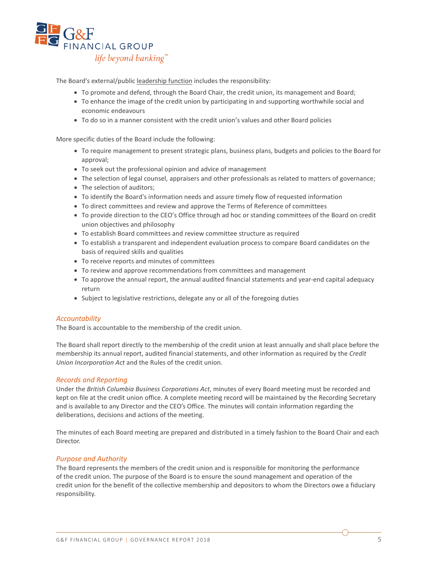

The Board's external/public leadership function includes the responsibility:

- To promote and defend, through the Board Chair, the credit union, its management and Board;
- To enhance the image of the credit union by participating in and supporting worthwhile social and economic endeavours
- To do so in a manner consistent with the credit union's values and other Board policies

More specific duties of the Board include the following:

- To require management to present strategic plans, business plans, budgets and policies to the Board for approval;
- To seek out the professional opinion and advice of management
- The selection of legal counsel, appraisers and other professionals as related to matters of governance;
- The selection of auditors;
- To identify the Board's information needs and assure timely flow of requested information
- To direct committees and review and approve the Terms of Reference of committees
- To provide direction to the CEO's Office through ad hoc or standing committees of the Board on credit union objectives and philosophy
- To establish Board committees and review committee structure as required
- To establish a transparent and independent evaluation process to compare Board candidates on the basis of required skills and qualities
- To receive reports and minutes of committees
- To review and approve recommendations from committees and management
- To approve the annual report, the annual audited financial statements and year-end capital adequacy return
- Subject to legislative restrictions, delegate any or all of the foregoing duties

#### *Accountability*

The Board is accountable to the membership of the credit union.

The Board shall report directly to the membership of the credit union at least annually and shall place before the membership its annual report, audited financial statements, and other information as required by the *Credit Union Incorporation Act* and the Rules of the credit union.

#### *Records and Reporting*

Under the *British Columbia Business Corporations Act*, minutes of every Board meeting must be recorded and kept on file at the credit union office. A complete meeting record will be maintained by the Recording Secretary and is available to any Director and the CEO's Office. The minutes will contain information regarding the deliberations, decisions and actions of the meeting.

The minutes of each Board meeting are prepared and distributed in a timely fashion to the Board Chair and each Director.

#### *Purpose and Authority*

The Board represents the members of the credit union and is responsible for monitoring the performance of the credit union. The purpose of the Board is to ensure the sound management and operation of the credit union for the benefit of the collective membership and depositors to whom the Directors owe a fiduciary responsibility.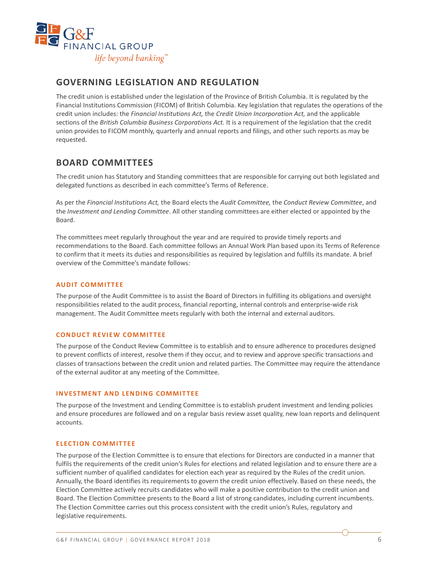

## **GOVERNING LEGISLATION AND REGULATION**

The credit union is established under the legislation of the Province of British Columbia. It is regulated by the Financial Institutions Commission (FICOM) of British Columbia. Key legislation that regulates the operations of the credit union includes: the *Financial Institutions Act,* the *Credit Union Incorporation Act,* and the applicable sections of the *British Columbia Business Corporations Act.* It is a requirement of the legislation that the credit union provides to FICOM monthly, quarterly and annual reports and filings, and other such reports as may be requested.

## **BOARD COMMITTEES**

The credit union has Statutory and Standing committees that are responsible for carrying out both legislated and delegated functions as described in each committee's Terms of Reference.

As per the *Financial Institutions Act,* the Board elects the *Audit Committee,* the *Conduct Review Committee*, and the *Investment and Lending Committee*. All other standing committees are either elected or appointed by the Board.

The committees meet regularly throughout the year and are required to provide timely reports and recommendations to the Board. Each committee follows an Annual Work Plan based upon its Terms of Reference to confirm that it meets its duties and responsibilities as required by legislation and fulfills its mandate. A brief overview of the Committee's mandate follows:

#### **AUDIT COMMITTEE**

The purpose of the Audit Committee is to assist the Board of Directors in fulfilling its obligations and oversight responsibilities related to the audit process, financial reporting, internal controls and enterprise-wide risk management. The Audit Committee meets regularly with both the internal and external auditors.

#### **CONDUCT REVIEW COMMITTEE**

The purpose of the Conduct Review Committee is to establish and to ensure adherence to procedures designed to prevent conflicts of interest, resolve them if they occur, and to review and approve specific transactions and classes of transactions between the credit union and related parties. The Committee may require the attendance of the external auditor at any meeting of the Committee.

#### **INVESTMENT AND LENDING COMMITTEE**

The purpose of the Investment and Lending Committee is to establish prudent investment and lending policies and ensure procedures are followed and on a regular basis review asset quality, new loan reports and delinquent accounts.

#### **ELECTION COMMITTEE**

The purpose of the Election Committee is to ensure that elections for Directors are conducted in a manner that fulfils the requirements of the credit union's Rules for elections and related legislation and to ensure there are a sufficient number of qualified candidates for election each year as required by the Rules of the credit union. Annually, the Board identifies its requirements to govern the credit union effectively. Based on these needs, the Election Committee actively recruits candidates who will make a positive contribution to the credit union and Board. The Election Committee presents to the Board a list of strong candidates, including current incumbents. The Election Committee carries out this process consistent with the credit union's Rules, regulatory and legislative requirements.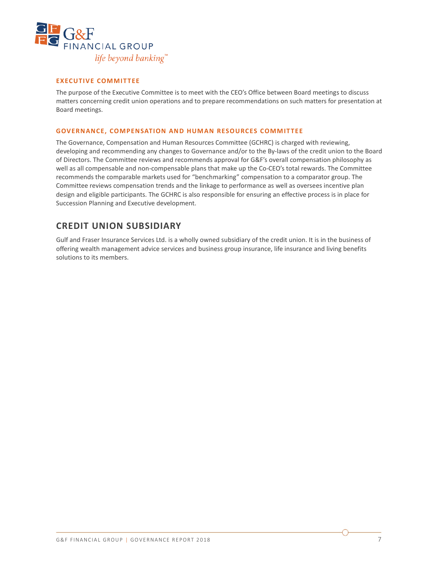

#### **EXECUTIVE COMMITTEE**

The purpose of the Executive Committee is to meet with the CEO's Office between Board meetings to discuss matters concerning credit union operations and to prepare recommendations on such matters for presentation at Board meetings.

#### **GOVERNANCE, COMPENSATION AND HUMAN RESOURCES COMMITTEE**

The Governance, Compensation and Human Resources Committee (GCHRC) is charged with reviewing, developing and recommending any changes to Governance and/or to the By-laws of the credit union to the Board of Directors. The Committee reviews and recommends approval for G&F's overall compensation philosophy as well as all compensable and non-compensable plans that make up the Co-CEO's total rewards. The Committee recommends the comparable markets used for "benchmarking" compensation to a comparator group. The Committee reviews compensation trends and the linkage to performance as well as oversees incentive plan design and eligible participants. The GCHRC is also responsible for ensuring an effective process is in place for Succession Planning and Executive development.

### **CREDIT UNION SUBSIDIARY**

Gulf and Fraser Insurance Services Ltd. is a wholly owned subsidiary of the credit union. It is in the business of offering wealth management advice services and business group insurance, life insurance and living benefits solutions to its members.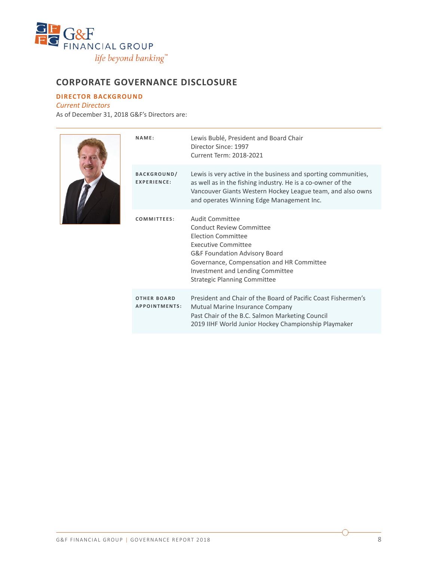

## **CORPORATE GOVERNANCE DISCLOSURE**

#### **DIRECTOR BACKGROUND**

*Current Directors*

As of December 31, 2018 G&F's Directors are:



| NAME:                                      | Lewis Bublé, President and Board Chair<br>Director Since: 1997<br>Current Term: 2018-2021                                                                                                                                                                |
|--------------------------------------------|----------------------------------------------------------------------------------------------------------------------------------------------------------------------------------------------------------------------------------------------------------|
| <b>BACKGROUND/</b><br><b>EXPERIENCE:</b>   | Lewis is very active in the business and sporting communities,<br>as well as in the fishing industry. He is a co-owner of the<br>Vancouver Giants Western Hockey League team, and also owns<br>and operates Winning Edge Management Inc.                 |
| COMMITTEES:                                | Audit Committee<br>Conduct Review Committee<br><b>Election Committee</b><br>Executive Committee<br>G&F Foundation Advisory Board<br>Governance, Compensation and HR Committee<br>Investment and Lending Committee<br><b>Strategic Planning Committee</b> |
| <b>OTHER BOARD</b><br><b>APPOINTMENTS:</b> | President and Chair of the Board of Pacific Coast Fishermen's<br>Mutual Marine Insurance Company<br>Past Chair of the B.C. Salmon Marketing Council<br>2019 IIHF World Junior Hockey Championship Playmaker                                              |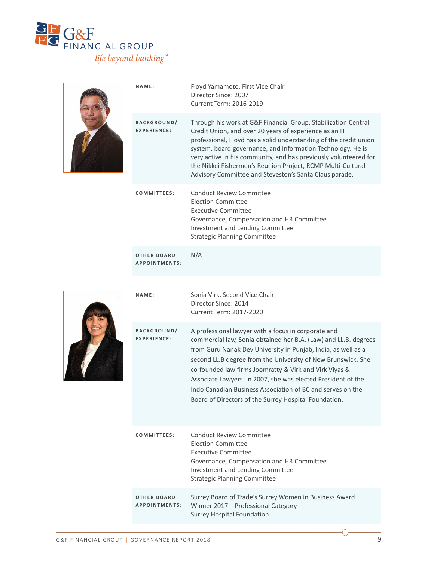

|  | NAME:<br><b>BACKGROUND/</b><br><b>EXPERIENCE:</b> | Floyd Yamamoto, First Vice Chair<br>Director Since: 2007<br>Current Term: 2016-2019<br>Through his work at G&F Financial Group, Stabilization Central<br>Credit Union, and over 20 years of experience as an IT<br>professional, Floyd has a solid understanding of the credit union<br>system, board governance, and Information Technology. He is<br>very active in his community, and has previously volunteered for<br>the Nikkei Fishermen's Reunion Project, RCMP Multi-Cultural<br>Advisory Committee and Steveston's Santa Claus parade. |
|--|---------------------------------------------------|--------------------------------------------------------------------------------------------------------------------------------------------------------------------------------------------------------------------------------------------------------------------------------------------------------------------------------------------------------------------------------------------------------------------------------------------------------------------------------------------------------------------------------------------------|
|  | COMMITTEES:                                       | Conduct Review Committee<br><b>Election Committee</b><br>Executive Committee<br>Governance, Compensation and HR Committee<br>Investment and Lending Committee<br><b>Strategic Planning Committee</b>                                                                                                                                                                                                                                                                                                                                             |
|  | <b>OTHER BOARD</b><br><b>APPOINTMENTS:</b>        | N/A                                                                                                                                                                                                                                                                                                                                                                                                                                                                                                                                              |
|  | NAME:                                             | Sonia Virk, Second Vice Chair<br>Diroctor Cinco: 7011                                                                                                                                                                                                                                                                                                                                                                                                                                                                                            |



| A professional lawyer with a focus in corporate and<br><b>BACKGROUND/</b><br><b>EXPERIENCE:</b><br>from Guru Nanak Dev University in Punjab, India, as well as a<br>second LL.B degree from the University of New Brunswick. She<br>co-founded law firms Joomratty & Virk and Virk Viyas &<br>Associate Lawyers. In 2007, she was elected President of the<br>Indo Canadian Business Association of BC and serves on the<br>Board of Directors of the Surrey Hospital Foundation.<br>Conduct Review Committee<br>COMMITTEES:<br><b>Election Committee</b><br>Executive Committee<br>Governance, Compensation and HR Committee<br>Investment and Lending Committee<br><b>Strategic Planning Committee</b><br>Surrey Board of Trade's Surrey Women in Business Award<br><b>OTHER BOARD</b><br><b>APPOINTMENTS:</b><br>Winner 2017 - Professional Category<br><b>Surrey Hospital Foundation</b> |  | Director Since: 2014<br>Current Term: 2017-2020                 |
|----------------------------------------------------------------------------------------------------------------------------------------------------------------------------------------------------------------------------------------------------------------------------------------------------------------------------------------------------------------------------------------------------------------------------------------------------------------------------------------------------------------------------------------------------------------------------------------------------------------------------------------------------------------------------------------------------------------------------------------------------------------------------------------------------------------------------------------------------------------------------------------------|--|-----------------------------------------------------------------|
|                                                                                                                                                                                                                                                                                                                                                                                                                                                                                                                                                                                                                                                                                                                                                                                                                                                                                              |  | commercial law, Sonia obtained her B.A. (Law) and LL.B. degrees |
|                                                                                                                                                                                                                                                                                                                                                                                                                                                                                                                                                                                                                                                                                                                                                                                                                                                                                              |  |                                                                 |
|                                                                                                                                                                                                                                                                                                                                                                                                                                                                                                                                                                                                                                                                                                                                                                                                                                                                                              |  |                                                                 |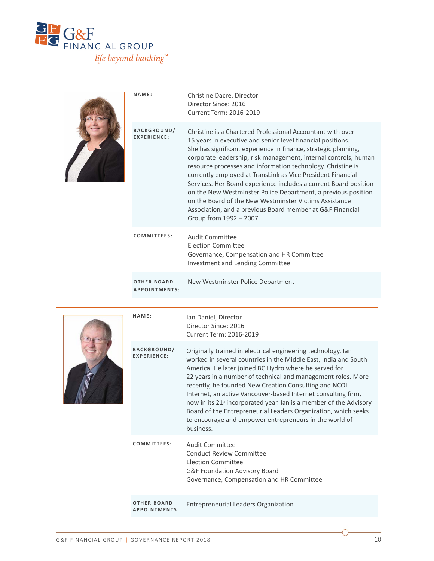

|  | NAME:                                      | Christine Dacre, Director<br>Director Since: 2016<br>Current Term: 2016-2019                                                                                                                                                                                                                                                                                                                                                                                                                                                                                                                                                                                                        |
|--|--------------------------------------------|-------------------------------------------------------------------------------------------------------------------------------------------------------------------------------------------------------------------------------------------------------------------------------------------------------------------------------------------------------------------------------------------------------------------------------------------------------------------------------------------------------------------------------------------------------------------------------------------------------------------------------------------------------------------------------------|
|  | <b>BACKGROUND/</b><br><b>EXPERIENCE:</b>   | Christine is a Chartered Professional Accountant with over<br>15 years in executive and senior level financial positions.<br>She has significant experience in finance, strategic planning,<br>corporate leadership, risk management, internal controls, human<br>resource processes and information technology. Christine is<br>currently employed at TransLink as Vice President Financial<br>Services. Her Board experience includes a current Board position<br>on the New Westminster Police Department, a previous position<br>on the Board of the New Westminster Victims Assistance<br>Association, and a previous Board member at G&F Financial<br>Group from 1992 - 2007. |
|  | COMMITTEES:                                | <b>Audit Committee</b><br><b>Election Committee</b><br>Governance, Compensation and HR Committee<br>Investment and Lending Committee                                                                                                                                                                                                                                                                                                                                                                                                                                                                                                                                                |
|  | <b>OTHER BOARD</b><br><b>APPOINTMENTS:</b> | New Westminster Police Department                                                                                                                                                                                                                                                                                                                                                                                                                                                                                                                                                                                                                                                   |
|  | NAME:                                      | Ian Daniel, Director                                                                                                                                                                                                                                                                                                                                                                                                                                                                                                                                                                                                                                                                |
|  |                                            | Director Since: 2016<br>Current Term: 2016-2019                                                                                                                                                                                                                                                                                                                                                                                                                                                                                                                                                                                                                                     |
|  | BACKGROUND/<br>EXPERIENCE:                 | Originally trained in electrical engineering technology, Ian<br>worked in several countries in the Middle East, India and South<br>America. He later joined BC Hydro where he served for<br>22 years in a number of technical and management roles. More<br>recently, he founded New Creation Consulting and NCOL<br>Internet, an active Vancouver-based Internet consulting firm,<br>now in its 21 <sup>st</sup> incorporated year. Ian is a member of the Advisory<br>Board of the Entrepreneurial Leaders Organization, which seeks<br>to encourage and empower entrepreneurs in the world of<br>business.                                                                       |
|  | COMMITTEES:                                | <b>Audit Committee</b><br><b>Conduct Review Committee</b><br><b>Election Committee</b><br>G&F Foundation Advisory Board<br>Governance, Compensation and HR Committee                                                                                                                                                                                                                                                                                                                                                                                                                                                                                                                |

↷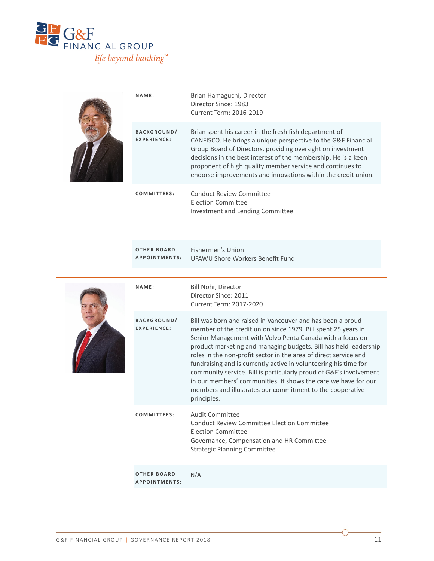

|  | NAME:                                      | Brian Hamaguchi, Director<br>Director Since: 1983<br>Current Term: 2016-2019                                                                                                                                                                                                                                                                                                                                                                                                                                                                                                                                             |
|--|--------------------------------------------|--------------------------------------------------------------------------------------------------------------------------------------------------------------------------------------------------------------------------------------------------------------------------------------------------------------------------------------------------------------------------------------------------------------------------------------------------------------------------------------------------------------------------------------------------------------------------------------------------------------------------|
|  | <b>BACKGROUND/</b><br><b>EXPERIENCE:</b>   | Brian spent his career in the fresh fish department of<br>CANFISCO. He brings a unique perspective to the G&F Financial<br>Group Board of Directors, providing oversight on investment<br>decisions in the best interest of the membership. He is a keen<br>proponent of high quality member service and continues to<br>endorse improvements and innovations within the credit union.                                                                                                                                                                                                                                   |
|  | COMMITTEES:                                | <b>Conduct Review Committee</b><br><b>Election Committee</b><br>Investment and Lending Committee                                                                                                                                                                                                                                                                                                                                                                                                                                                                                                                         |
|  | <b>OTHER BOARD</b><br><b>APPOINTMENTS:</b> | Fishermen's Union<br>UFAWU Shore Workers Benefit Fund                                                                                                                                                                                                                                                                                                                                                                                                                                                                                                                                                                    |
|  | NAME:                                      | Bill Nohr, Director<br>Director Since: 2011<br>Current Term: 2017-2020                                                                                                                                                                                                                                                                                                                                                                                                                                                                                                                                                   |
|  | <b>BACKGROUND/</b><br><b>EXPERIENCE:</b>   | Bill was born and raised in Vancouver and has been a proud<br>member of the credit union since 1979. Bill spent 25 years in<br>Senior Management with Volvo Penta Canada with a focus on<br>product marketing and managing budgets. Bill has held leadership<br>roles in the non-profit sector in the area of direct service and<br>fundraising and is currently active in volunteering his time for<br>community service. Bill is particularly proud of G&F's involvement<br>in our members' communities. It shows the care we have for our<br>members and illustrates our commitment to the cooperative<br>principles. |
|  | COMMITTEES:                                | <b>Audit Committee</b><br><b>Conduct Review Committee Election Committee</b><br><b>Election Committee</b><br>Governance, Compensation and HR Committee<br><b>Strategic Planning Committee</b>                                                                                                                                                                                                                                                                                                                                                                                                                            |
|  | <b>OTHER BOARD</b><br><b>APPOINTMENTS:</b> | N/A                                                                                                                                                                                                                                                                                                                                                                                                                                                                                                                                                                                                                      |

∩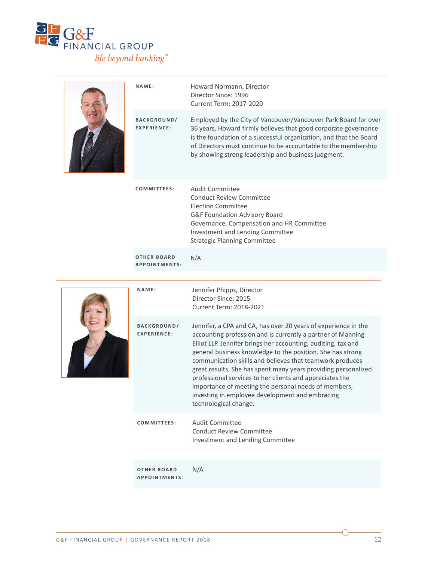

|  | NAME:                                    | Howard Normann, Director<br>Director Since: 1996<br>Current Term: 2017-2020                                                                                                                                                                                                                                                                                                                                                                                                                                                                                                                |
|--|------------------------------------------|--------------------------------------------------------------------------------------------------------------------------------------------------------------------------------------------------------------------------------------------------------------------------------------------------------------------------------------------------------------------------------------------------------------------------------------------------------------------------------------------------------------------------------------------------------------------------------------------|
|  | <b>BACKGROUND/</b><br><b>EXPERIENCE:</b> | Employed by the City of Vancouver/Vancouver Park Board for over<br>36 years, Howard firmly believes that good corporate governance<br>is the foundation of a successful organization, and that the Board<br>of Directors must continue to be accountable to the membership<br>by showing strong leadership and business judgment.                                                                                                                                                                                                                                                          |
|  | COMMITTEES:                              | <b>Audit Committee</b><br><b>Conduct Review Committee</b><br><b>Election Committee</b><br>G&F Foundation Advisory Board<br>Governance, Compensation and HR Committee<br>Investment and Lending Committee<br><b>Strategic Planning Committee</b>                                                                                                                                                                                                                                                                                                                                            |
|  | <b>OTHER BOARD</b><br>APPOINTMENTS:      | N/A                                                                                                                                                                                                                                                                                                                                                                                                                                                                                                                                                                                        |
|  | NAME:                                    | Jennifer Phipps, Director<br>Director Since: 2015<br>Current Term: 2018-2021                                                                                                                                                                                                                                                                                                                                                                                                                                                                                                               |
|  | BACKGROUND/<br><b>EXPERIENCE:</b>        | Jennifer, a CPA and CA, has over 20 years of experience in the<br>accounting profession and is currently a partner of Manning<br>Elliot LLP. Jennifer brings her accounting, auditing, tax and<br>general business knowledge to the position. She has strong<br>communication skills and believes that teamwork produces<br>great results. She has spent many years providing personalized<br>professional services to her clients and appreciates the<br>importance of meeting the personal needs of members,<br>investing in employee development and embracing<br>technological change. |
|  | <b>COMMITTEES:</b>                       | <b>Audit Committee</b><br><b>Conduct Review Committee</b><br>Investment and Lending Committee                                                                                                                                                                                                                                                                                                                                                                                                                                                                                              |

**OTHER BOARD APPOINTMENTS** : N/A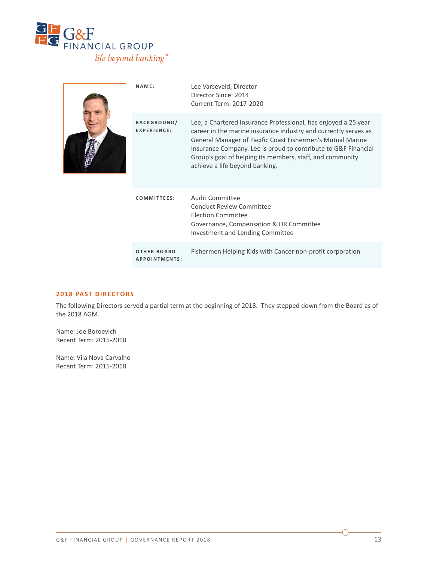

|  | NAME:                                    | Lee Varseveld, Director<br>Director Since: 2014<br>Current Term: 2017-2020                                                                                                                                                                                                                                                                                       |
|--|------------------------------------------|------------------------------------------------------------------------------------------------------------------------------------------------------------------------------------------------------------------------------------------------------------------------------------------------------------------------------------------------------------------|
|  | <b>BACKGROUND/</b><br><b>FXPFRIFNCF:</b> | Lee, a Chartered Insurance Professional, has enjoyed a 25 year<br>career in the marine insurance industry and currently serves as<br>General Manager of Pacific Coast Fishermen's Mutual Marine<br>Insurance Company. Lee is proud to contribute to G&F Financial<br>Group's goal of helping its members, staff, and community<br>achieve a life beyond banking. |
|  | COMMITTEES:                              | Audit Committee<br>Conduct Review Committee<br>Election Committee<br>Governance, Compensation & HR Committee<br>Investment and Lending Committee                                                                                                                                                                                                                 |
|  | <b>OTHER BOARD</b><br>APPOINTMENTS:      | Fishermen Helping Kids with Cancer non-profit corporation                                                                                                                                                                                                                                                                                                        |

#### **2018 PAST DIRECTORS**

The following Directors served a partial term at the beginning of 2018. They stepped down from the Board as of the 2018 AGM.

Name: Joe Boroevich Recent Term: 2015-2018

Name: Vila Nova Carvalho Recent Term: 2015-2018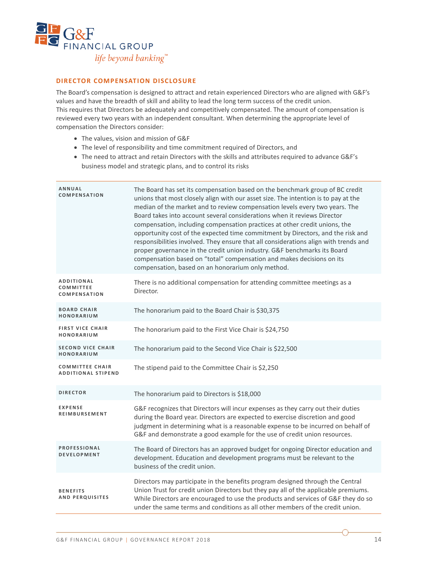

#### **DIRECTOR COMPENSATION DISCLOSURE**

The Board's compensation is designed to attract and retain experienced Directors who are aligned with G&F's values and have the breadth of skill and ability to lead the long term success of the credit union. This requires that Directors be adequately and competitively compensated. The amount of compensation is reviewed every two years with an independent consultant. When determining the appropriate level of compensation the Directors consider:

- The values, vision and mission of G&F
- The level of responsibility and time commitment required of Directors, and
- The need to attract and retain Directors with the skills and attributes required to advance G&F's business model and strategic plans, and to control its risks

| ANNUAL<br><b>COMPENSATION</b>                                | The Board has set its compensation based on the benchmark group of BC credit<br>unions that most closely align with our asset size. The intention is to pay at the<br>median of the market and to review compensation levels every two years. The<br>Board takes into account several considerations when it reviews Director<br>compensation, including compensation practices at other credit unions, the<br>opportunity cost of the expected time commitment by Directors, and the risk and<br>responsibilities involved. They ensure that all considerations align with trends and<br>proper governance in the credit union industry. G&F benchmarks its Board<br>compensation based on "total" compensation and makes decisions on its<br>compensation, based on an honorarium only method. |
|--------------------------------------------------------------|--------------------------------------------------------------------------------------------------------------------------------------------------------------------------------------------------------------------------------------------------------------------------------------------------------------------------------------------------------------------------------------------------------------------------------------------------------------------------------------------------------------------------------------------------------------------------------------------------------------------------------------------------------------------------------------------------------------------------------------------------------------------------------------------------|
| <b>ADDITIONAL</b><br><b>COMMITTEE</b><br><b>COMPENSATION</b> | There is no additional compensation for attending committee meetings as a<br>Director.                                                                                                                                                                                                                                                                                                                                                                                                                                                                                                                                                                                                                                                                                                           |
| <b>BOARD CHAIR</b><br>HONORARIUM                             | The honorarium paid to the Board Chair is \$30,375                                                                                                                                                                                                                                                                                                                                                                                                                                                                                                                                                                                                                                                                                                                                               |
| <b>FIRST VICE CHAIR</b><br>HONORARIUM                        | The honorarium paid to the First Vice Chair is \$24,750                                                                                                                                                                                                                                                                                                                                                                                                                                                                                                                                                                                                                                                                                                                                          |
| <b>SECOND VICE CHAIR</b><br>HONORARIUM                       | The honorarium paid to the Second Vice Chair is \$22,500                                                                                                                                                                                                                                                                                                                                                                                                                                                                                                                                                                                                                                                                                                                                         |
| <b>COMMITTEE CHAIR</b><br><b>ADDITIONAL STIPEND</b>          | The stipend paid to the Committee Chair is \$2,250                                                                                                                                                                                                                                                                                                                                                                                                                                                                                                                                                                                                                                                                                                                                               |
| <b>DIRECTOR</b>                                              | The honorarium paid to Directors is \$18,000                                                                                                                                                                                                                                                                                                                                                                                                                                                                                                                                                                                                                                                                                                                                                     |
| <b>EXPENSE</b><br>REIMBURSEMENT                              | G&F recognizes that Directors will incur expenses as they carry out their duties<br>during the Board year. Directors are expected to exercise discretion and good<br>judgment in determining what is a reasonable expense to be incurred on behalf of<br>G&F and demonstrate a good example for the use of credit union resources.                                                                                                                                                                                                                                                                                                                                                                                                                                                               |
| <b>PROFESSIONAL</b><br><b>DEVELOPMENT</b>                    | The Board of Directors has an approved budget for ongoing Director education and<br>development. Education and development programs must be relevant to the<br>business of the credit union.                                                                                                                                                                                                                                                                                                                                                                                                                                                                                                                                                                                                     |
| <b>BENEFITS</b><br><b>AND PERQUISITES</b>                    | Directors may participate in the benefits program designed through the Central<br>Union Trust for credit union Directors but they pay all of the applicable premiums.<br>While Directors are encouraged to use the products and services of G&F they do so<br>under the same terms and conditions as all other members of the credit union.                                                                                                                                                                                                                                                                                                                                                                                                                                                      |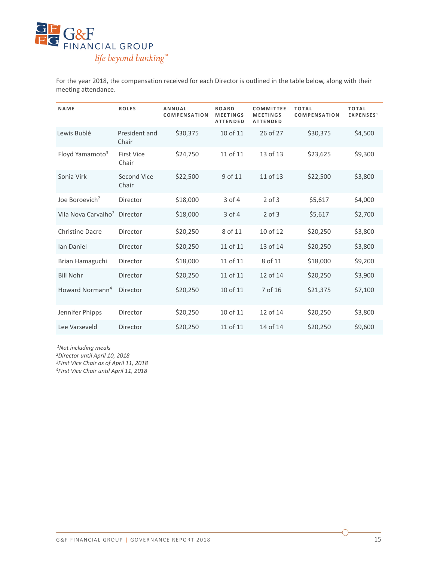

For the year 2018, the compensation received for each Director is outlined in the table below, along with their meeting attendance.

| NAME                            | <b>ROLES</b>               | <b>ANNUAL</b><br><b>COMPENSATION</b> | <b>BOARD</b><br><b>MEETINGS</b><br><b>ATTENDED</b> | <b>COMMITTEE</b><br><b>MEETINGS</b><br><b>ATTENDED</b> | <b>TOTAL</b><br><b>COMPENSATION</b> | <b>TOTAL</b><br>EXPENSES <sup>1</sup> |
|---------------------------------|----------------------------|--------------------------------------|----------------------------------------------------|--------------------------------------------------------|-------------------------------------|---------------------------------------|
| Lewis Bublé                     | President and<br>Chair     | \$30,375                             | 10 of 11                                           | 26 of 27                                               | \$30,375                            | \$4,500                               |
| Floyd Yamamoto <sup>3</sup>     | <b>First Vice</b><br>Chair | \$24,750                             | 11 of 11                                           | 13 of 13                                               | \$23,625                            | \$9,300                               |
| Sonia Virk                      | Second Vice<br>Chair       | \$22,500                             | 9 of 11                                            | 11 of 13                                               | \$22,500                            | \$3,800                               |
| Joe Boroevich <sup>2</sup>      | Director                   | \$18,000                             | $3$ of $4$                                         | $2$ of $3$                                             | \$5,617                             | \$4,000                               |
| Vila Nova Carvalho <sup>2</sup> | Director                   | \$18,000                             | $3$ of $4$                                         | $2$ of $3$                                             | \$5,617                             | \$2,700                               |
| <b>Christine Dacre</b>          | Director                   | \$20,250                             | 8 of 11                                            | 10 of 12                                               | \$20,250                            | \$3,800                               |
| Ian Daniel                      | Director                   | \$20,250                             | 11 of 11                                           | 13 of 14                                               | \$20,250                            | \$3,800                               |
| Brian Hamaguchi                 | Director                   | \$18,000                             | 11 of 11                                           | 8 of 11                                                | \$18,000                            | \$9,200                               |
| <b>Bill Nohr</b>                | Director                   | \$20,250                             | 11 of 11                                           | 12 of 14                                               | \$20,250                            | \$3,900                               |
| Howard Normann <sup>4</sup>     | Director                   | \$20,250                             | 10 of 11                                           | 7 of 16                                                | \$21,375                            | \$7,100                               |
| Jennifer Phipps                 | Director                   | \$20,250                             | 10 of 11                                           | 12 of 14                                               | \$20,250                            | \$3,800                               |
| Lee Varseveld                   | Director                   | \$20,250                             | 11 of 11                                           | 14 of 14                                               | \$20,250                            | \$9,600                               |

*1Not including meals 2Director until April 10, 2018 3First Vice Chair as of April 11, 2018 4First Vice Chair until April 11, 2018*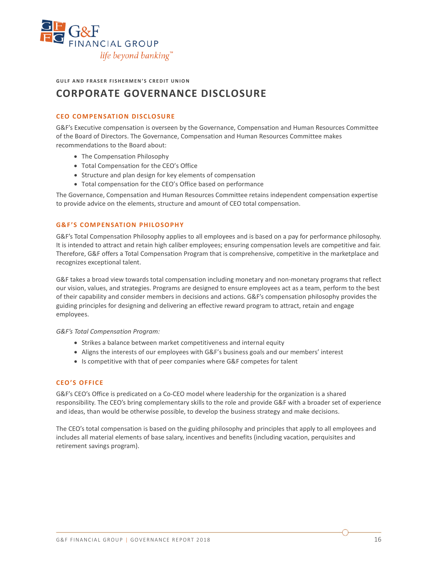

**GULF AND FRASER FISHERMEN'S CREDIT UNION**

## **CORPORATE GOVERNANCE DISCLOSURE**

#### **CEO COMPENSATION DISCLOSURE**

G&F's Executive compensation is overseen by the Governance, Compensation and Human Resources Committee of the Board of Directors. The Governance, Compensation and Human Resources Committee makes recommendations to the Board about:

- The Compensation Philosophy
- Total Compensation for the CEO's Office
- Structure and plan design for key elements of compensation
- Total compensation for the CEO's Office based on performance

The Governance, Compensation and Human Resources Committee retains independent compensation expertise to provide advice on the elements, structure and amount of CEO total compensation.

#### **G&F'S COMPENSATION PHILOSOPHY**

G&F's Total Compensation Philosophy applies to all employees and is based on a pay for performance philosophy. It is intended to attract and retain high caliber employees; ensuring compensation levels are competitive and fair. Therefore, G&F offers a Total Compensation Program that is comprehensive, competitive in the marketplace and recognizes exceptional talent.

G&F takes a broad view towards total compensation including monetary and non-monetary programs that reflect our vision, values, and strategies. Programs are designed to ensure employees act as a team, perform to the best of their capability and consider members in decisions and actions. G&F's compensation philosophy provides the guiding principles for designing and delivering an effective reward program to attract, retain and engage employees.

*G&F's Total Compensation Program:* 

- Strikes a balance between market competitiveness and internal equity
- Aligns the interests of our employees with G&F's business goals and our members' interest
- Is competitive with that of peer companies where G&F competes for talent

#### **CEO'S OFFICE**

G&F's CEO's Office is predicated on a Co-CEO model where leadership for the organization is a shared responsibility. The CEO's bring complementary skills to the role and provide G&F with a broader set of experience and ideas, than would be otherwise possible, to develop the business strategy and make decisions.

The CEO's total compensation is based on the guiding philosophy and principles that apply to all employees and includes all material elements of base salary, incentives and benefits (including vacation, perquisites and retirement savings program).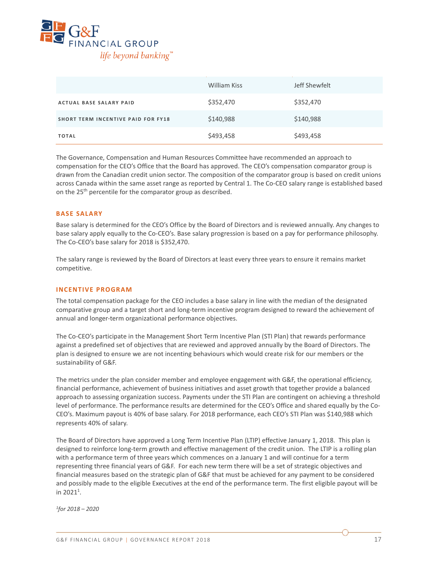

|                                           | William Kiss | Jeff Shewfelt |
|-------------------------------------------|--------------|---------------|
| <b>ACTUAL BASE SALARY PAID</b>            | \$352,470    | \$352,470     |
| <b>SHORT TERM INCENTIVE PAID FOR FY18</b> | \$140,988    | \$140,988     |
| <b>TOTAL</b>                              | \$493,458    | \$493,458     |

The Governance, Compensation and Human Resources Committee have recommended an approach to compensation for the CEO's Office that the Board has approved. The CEO's compensation comparator group is drawn from the Canadian credit union sector. The composition of the comparator group is based on credit unions across Canada within the same asset range as reported by Central 1. The Co-CEO salary range is established based on the 25<sup>th</sup> percentile for the comparator group as described.

#### **BASE SALARY**

Base salary is determined for the CEO's Office by the Board of Directors and is reviewed annually. Any changes to base salary apply equally to the Co-CEO's. Base salary progression is based on a pay for performance philosophy. The Co-CEO's base salary for 2018 is \$352,470.

The salary range is reviewed by the Board of Directors at least every three years to ensure it remains market competitive.

#### **INCENTIVE PROGRAM**

The total compensation package for the CEO includes a base salary in line with the median of the designated comparative group and a target short and long-term incentive program designed to reward the achievement of annual and longer-term organizational performance objectives.

The Co-CEO's participate in the Management Short Term Incentive Plan (STI Plan) that rewards performance against a predefined set of objectives that are reviewed and approved annually by the Board of Directors. The plan is designed to ensure we are not incenting behaviours which would create risk for our members or the sustainability of G&F.

The metrics under the plan consider member and employee engagement with G&F, the operational efficiency, financial performance, achievement of business initiatives and asset growth that together provide a balanced approach to assessing organization success. Payments under the STI Plan are contingent on achieving a threshold level of performance. The performance results are determined for the CEO's Office and shared equally by the Co-CEO's. Maximum payout is 40% of base salary. For 2018 performance, each CEO's STI Plan was \$140,988 which represents 40% of salary.

The Board of Directors have approved a Long Term Incentive Plan (LTIP) effective January 1, 2018. This plan is designed to reinforce long-term growth and effective management of the credit union. The LTIP is a rolling plan with a performance term of three years which commences on a January 1 and will continue for a term representing three financial years of G&F. For each new term there will be a set of strategic objectives and financial measures based on the strategic plan of G&F that must be achieved for any payment to be considered and possibly made to the eligible Executives at the end of the performance term. The first eligible payout will be in 2021<sup>1</sup>.

*1for 2018 – 2020*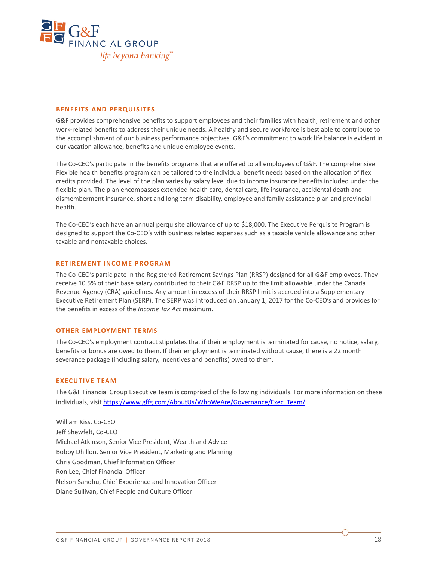

#### **BENEFITS AND PERQUISITES**

G&F provides comprehensive benefits to support employees and their families with health, retirement and other work-related benefits to address their unique needs. A healthy and secure workforce is best able to contribute to the accomplishment of our business performance objectives. G&F's commitment to work life balance is evident in our vacation allowance, benefits and unique employee events.

The Co-CEO's participate in the benefits programs that are offered to all employees of G&F. The comprehensive Flexible health benefits program can be tailored to the individual benefit needs based on the allocation of flex credits provided. The level of the plan varies by salary level due to income insurance benefits included under the flexible plan. The plan encompasses extended health care, dental care, life insurance, accidental death and dismemberment insurance, short and long term disability, employee and family assistance plan and provincial health.

The Co-CEO's each have an annual perquisite allowance of up to \$18,000. The Executive Perquisite Program is designed to support the Co-CEO's with business related expenses such as a taxable vehicle allowance and other taxable and nontaxable choices.

#### **RETIREMENT INCOME PROGRAM**

The Co-CEO's participate in the Registered Retirement Savings Plan (RRSP) designed for all G&F employees. They receive 10.5% of their base salary contributed to their G&F RRSP up to the limit allowable under the Canada Revenue Agency (CRA) guidelines. Any amount in excess of their RRSP limit is accrued into a Supplementary Executive Retirement Plan (SERP). The SERP was introduced on January 1, 2017 for the Co-CEO's and provides for the benefits in excess of the *Income Tax Act* maximum.

#### **OTHER EMPLOYMENT TERMS**

The Co-CEO's employment contract stipulates that if their employment is terminated for cause, no notice, salary, benefits or bonus are owed to them. If their employment is terminated without cause, there is a 22 month severance package (including salary, incentives and benefits) owed to them.

#### **EXECUTIVE TEAM**

The G&F Financial Group Executive Team is comprised of the following individuals. For more information on these individuals, visit [https://www.gffg.com/AboutUs/WhoWeAre/Governance/Exec\\_Team/](https://www.gffg.com/AboutUs/WhoWeAre/Governance/Exec_Team/)

William Kiss, Co-CEO Jeff Shewfelt, Co-CEO Michael Atkinson, Senior Vice President, Wealth and Advice Bobby Dhillon, Senior Vice President, Marketing and Planning Chris Goodman, Chief Information Officer Ron Lee, Chief Financial Officer Nelson Sandhu, Chief Experience and Innovation Officer Diane Sullivan, Chief People and Culture Officer